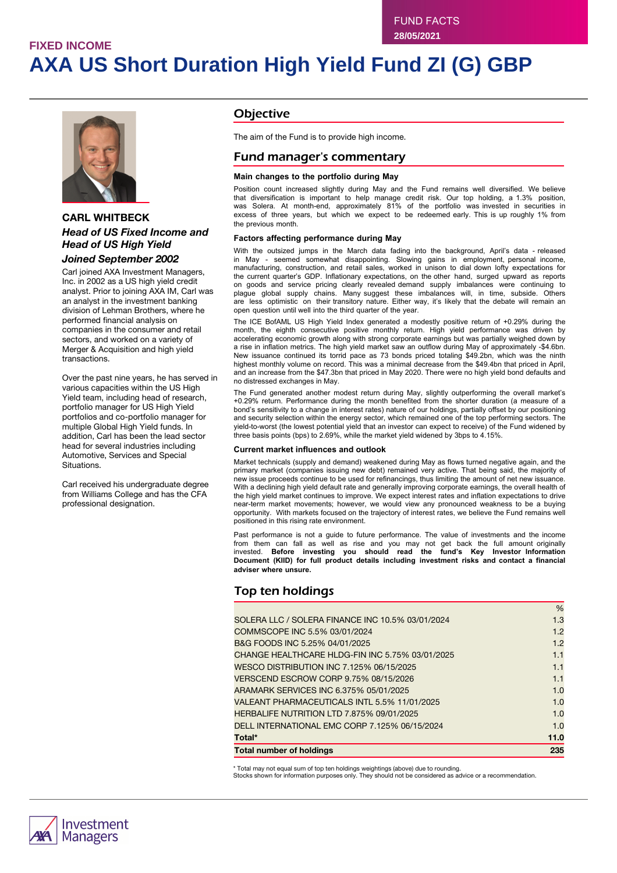# **FIXED INCOME AXA US Short Duration High Yield Fund ZI (G) GBP**



### **CARL WHITBECK** *Head of US Fixed Income and Head of US High Yield*

### *Joined September 2002*

Carl joined AXA Investment Managers, Inc. in 2002 as a US high yield credit analyst. Prior to joining AXA IM, Carl was an analyst in the investment banking division of Lehman Brothers, where he performed financial analysis on companies in the consumer and retail sectors, and worked on a variety of Merger & Acquisition and high yield transactions.

Over the past nine years, he has served in various capacities within the US High Yield team, including head of research, portfolio manager for US High Yield portfolios and co-portfolio manager for multiple Global High Yield funds. In addition, Carl has been the lead sector head for several industries including Automotive, Services and Special Situations.

Carl received his undergraduate degree from Williams College and has the CFA professional designation.

### **Objective**

The aim of the Fund is to provide high income.

### Fund manager's commentary

#### **Main changes to the portfolio during May**

Position count increased slightly during May and the Fund remains well diversified. We believe that diversification is important to help manage credit risk. Our top holding, a 1.3% position, was Solera. At month-end, approximately 81% of the portfolio was invested in securities in excess of three years, but which we expect to be redeemed early. This is up roughly 1% from the previous month.

#### **Factors affecting performance during May**

With the outsized jumps in the March data fading into the background, April's data - released in May - seemed somewhat disappointing. Slowing gains in employment, personal income, manufacturing, construction, and retail sales, worked in unison to dial down lofty expectations for the current quarter's GDP. Inflationary expectations, on the other hand, surged upward as reports on goods and service pricing clearly revealed demand supply imbalances were continuing to plague global supply chains. Many suggest these imbalances will, in time, subside. Others are less optimistic on their transitory nature. Either way, it's likely that the debate will remain an open question until well into the third quarter of the year.

The ICE BofAML US High Yield Index generated a modestly positive return of +0.29% during the month, the eighth consecutive positive monthly return. High yield performance was driven by accelerating economic growth along with strong corporate earnings but was partially weighed down by a rise in inflation metrics. The high yield market saw an outflow during May of approximately -\$4.6bn. New issuance continued its torrid pace as 73 bonds priced totaling \$49.2bn, which was the ninth highest monthly volume on record. This was a minimal decrease from the \$49.4bn that priced in April, and an increase from the \$47.3bn that priced in May 2020. There were no high yield bond defaults and no distressed exchanges in May.

The Fund generated another modest return during May, slightly outperforming the overall market's +0.29% return. Performance during the month benefited from the shorter duration (a measure of a bond's sensitivity to a change in interest rates) nature of our holdings, partially offset by our positioning and security selection within the energy sector, which remained one of the top performing sectors. The yield-to-worst (the lowest potential yield that an investor can expect to receive) of the Fund widened by three basis points (bps) to 2.69%, while the market yield widened by 3bps to 4.15%.

#### **Current market influences and outlook**

Market technicals (supply and demand) weakened during May as flows turned negative again, and the primary market (companies issuing new debt) remained very active. That being said, the majority of new issue proceeds continue to be used for refinancings, thus limiting the amount of net new issuance. With a declining high yield default rate and generally improving corporate earnings, the overall health of the high yield market continues to improve. We expect interest rates and inflation expectations to drive near-term market movements; however, we would view any pronounced weakness to be a buying opportunity. With markets focused on the trajectory of interest rates, we believe the Fund remains well positioned in this rising rate environment.

Past performance is not a guide to future performance. The value of investments and the income from them can fall as well as rise and you may not get back the full amount originally invested. **Before investing you should read the fund's Key Investor Information Document (KIID) for full product details including investment risks and contact a financial adviser where unsure.**

## Top ten holdings

| <b>Total number of holdings</b>                  | 235  |
|--------------------------------------------------|------|
| Total*                                           | 11.0 |
| DELL INTERNATIONAL EMC CORP 7.125% 06/15/2024    | 1.0  |
| HERBALIFE NUTRITION LTD 7.875% 09/01/2025        | 1.0  |
| VALEANT PHARMACEUTICALS INTL 5.5% 11/01/2025     | 1.0  |
| ARAMARK SERVICES INC 6.375% 05/01/2025           | 1.0  |
| VERSCEND ESCROW CORP 9.75% 08/15/2026            | 1.1  |
| WESCO DISTRIBUTION INC 7.125% 06/15/2025         | 1.1  |
| CHANGE HEALTHCARE HLDG-FIN INC 5.75% 03/01/2025  | 1.1  |
| B&G FOODS INC 5.25% 04/01/2025                   | 1.2  |
| COMMSCOPE INC 5.5% 03/01/2024                    | 1.2  |
| SOLERA LLC / SOLERA FINANCE INC 10.5% 03/01/2024 | 1.3  |
|                                                  | %    |

\* Total may not equal sum of top ten holdings weightings (above) due to rounding.

Stocks shown for information purposes only. They should not be considered as advice or a recommendation.